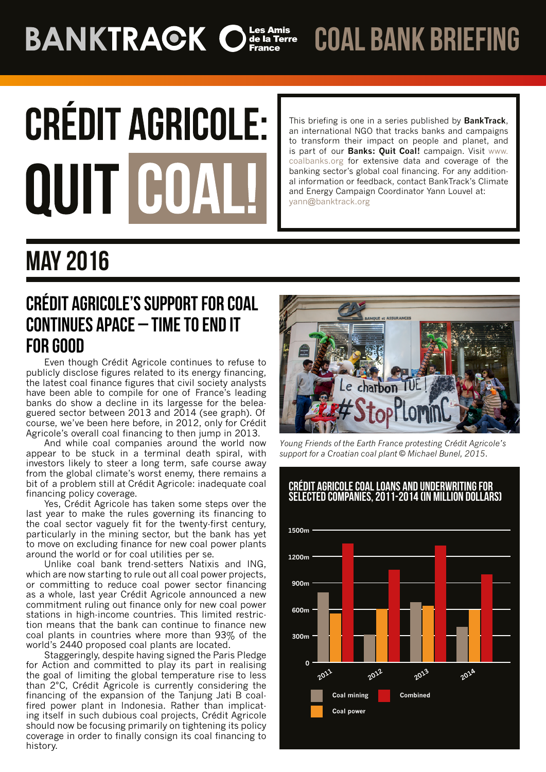# **BANKTRACK Of Ser Amis**

coal bank briefing

# **CRÉDIT AGRICOLE: QUIT C**

This briefing is one in a series published by **BankTrack**, an international NGO that tracks banks and campaigns to transform their impact on people and planet, and is part of our **Banks: Quit Coal!** campaign. Visit [www.](http://www.coalbanks.org/) [coalbanks.org](http://www.coalbanks.org/) for extensive data and coverage of the banking sector's global coal financing. For any additional information or feedback, contact BankTrack's Climate and Energy Campaign Coordinator Yann Louvel at: yann@banktrack.org

## May 2016

### CRéDIT AGRICOLE'S SUPPORT FOR COAL CONTINUES APACE - TIME TO END IT FOR GOOD

Even though Crédit Agricole continues to refuse to publicly disclose figures related to its energy financing, the latest coal finance figures that civil society analysts have been able to compile for one of France's leading banks do show a decline in its largesse for the beleaguered sector between 2013 and 2014 (see graph). Of course, we've been here before, in 2012, only for Crédit Agricole's overall coal financing to then jump in 2013.

And while coal companies around the world now appear to be stuck in a terminal death spiral, with investors likely to steer a long term, safe course away from the global climate's worst enemy, there remains a bit of a problem still at Crédit Agricole: inadequate coal financing policy coverage.

Yes, Crédit Agricole has taken some steps over the last year to make the rules governing its financing to the coal sector vaguely fit for the twenty-first century, particularly in the mining sector, but the bank has yet to move on excluding finance for new coal power plants around the world or for coal utilities per se.

Unlike coal bank trend-setters Natixis and ING, which are now starting to rule out all coal power projects, or committing to reduce coal power sector financing as a whole, last year Crédit Agricole announced a new commitment ruling out finance only for new coal power stations in high-income countries. This limited restriction means that the bank can continue to finance new coal plants in countries where more than 93% of the world's 2440 proposed coal plants are located.

Staggeringly, despite having signed the Paris Pledge for Action and committed to play its part in realising the goal of limiting the global temperature rise to less than 2°C, Crédit Agricole is currently considering the financing of the expansion of the Tanjung Jati B coalfired power plant in Indonesia. Rather than implicating itself in such dubious coal projects, Crédit Agricole should now be focusing primarily on tightening its policy coverage in order to finally consign its coal financing to history.



*Young Friends of the Earth France protesting Crédit Agricole's support for a Croatian coal plant © Michael Bunel, 2015.*

#### Crédit Agricole coal loans and underwriting for selected companies, 2011-2014 (in million dollars)